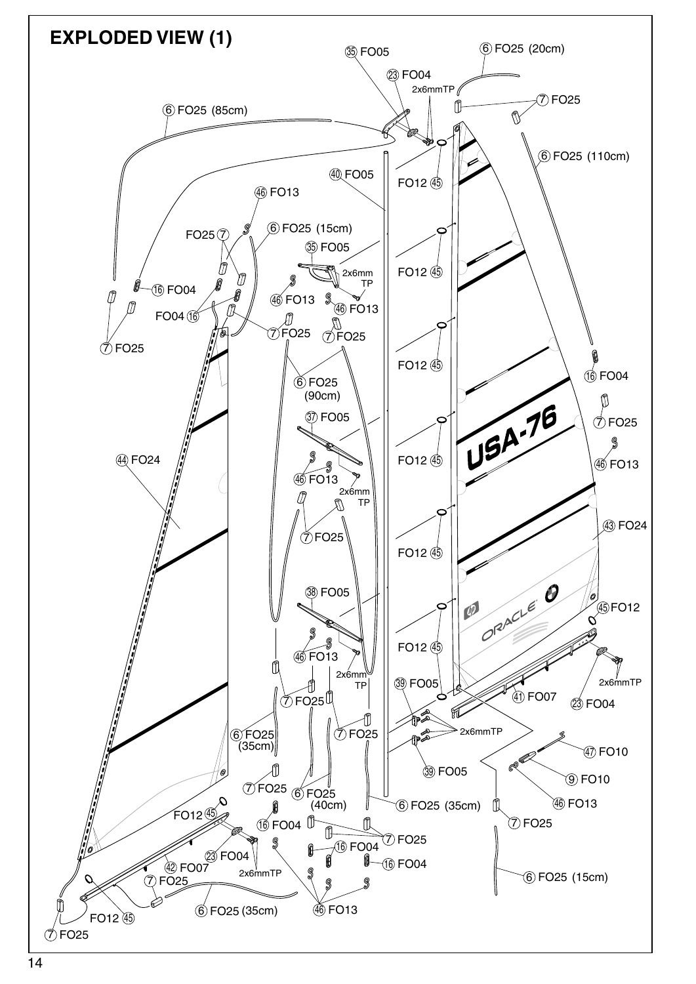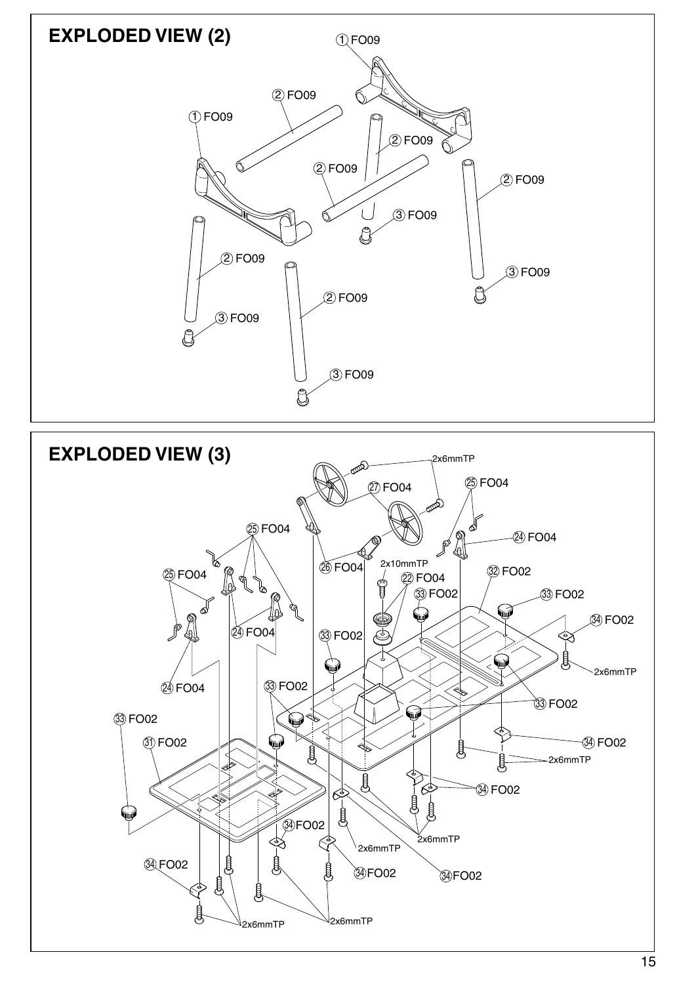

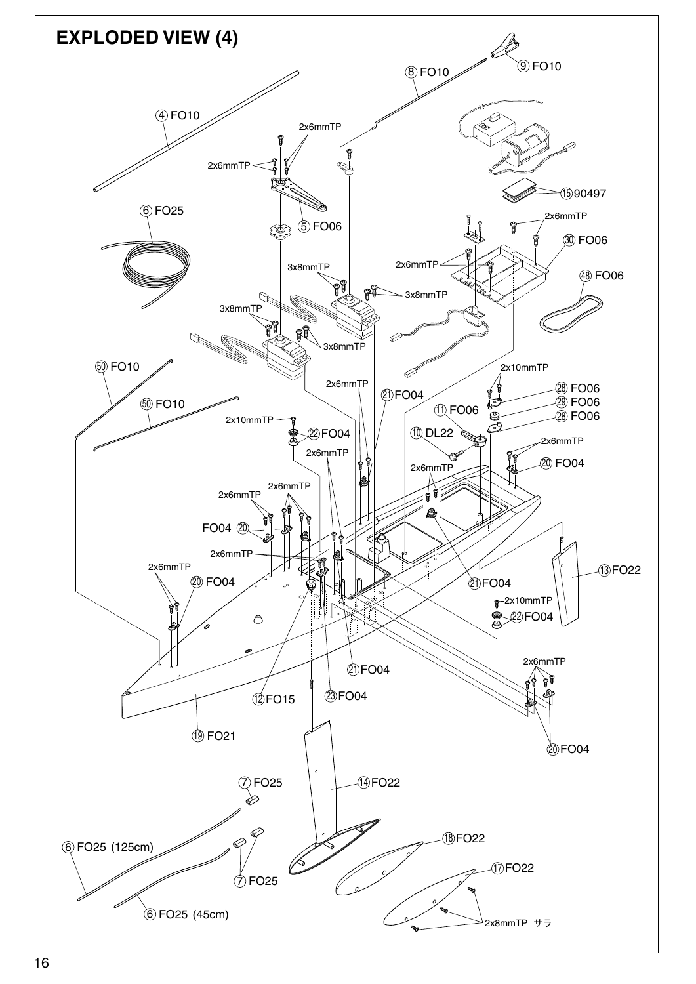